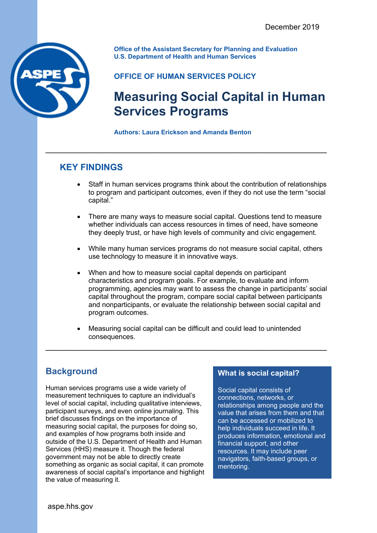

**Office of the Assistant Secretary for Planning and Evaluation U.S. Department of Health and Human Services**

### **OFFICE OF HUMAN SERVICES POLICY**

# **Measuring Social Capital in Human Services Programs**

**Authors: Laura Erickson and Amanda Benton**

\_\_\_\_\_\_\_\_\_\_\_\_\_\_\_\_\_\_\_\_\_\_\_\_\_\_\_\_\_\_\_\_\_\_\_\_\_\_\_\_\_\_\_\_\_\_\_\_\_\_\_\_\_\_\_\_\_

# **KEY FINDINGS**

- Staff in human services programs think about the contribution of relationships to program and participant outcomes, even if they do not use the term "social capital."
- There are many ways to measure social capital. Questions tend to measure whether individuals can access resources in times of need, have someone they deeply trust, or have high levels of community and civic engagement.
- While many human services programs do not measure social capital, others use technology to measure it in innovative ways.
- When and how to measure social capital depends on participant characteristics and program goals. For example, to evaluate and inform programming, agencies may want to assess the change in participants' social capital throughout the program, compare social capital between participants and nonparticipants, or evaluate the relationship between social capital and program outcomes.
- Measuring social capital can be difficult and could lead to unintended consequences.

\_\_\_\_\_\_\_\_\_\_\_\_\_\_\_\_\_\_\_\_\_\_\_\_\_\_\_\_\_\_\_\_\_\_\_\_\_\_\_\_\_\_\_\_\_\_\_\_\_\_\_\_\_\_\_\_\_

# **Background**

Human services programs use a wide variety of measurement techniques to capture an individual's level of social capital, including qualitative interviews, participant surveys, and even online journaling. This brief discusses findings on the importance of measuring social capital, the purposes for doing so, and examples of how programs both inside and outside of the U.S. Department of Health and Human Services (HHS) measure it. Though the federal government may not be able to directly create something as organic as social capital, it can promote awareness of social capital's importance and highlight the value of measuring it.

### **What is social capital?**

Social capital consists of connections, networks, or relationships among people and the value that arises from them and that can be accessed or mobilized to help individuals succeed in life. It produces information, emotional and financial support, and other resources. It may include peer navigators, faith-based groups, or mentoring.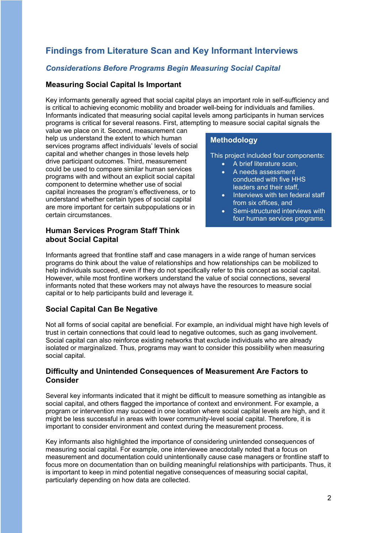## **Findings from Literature Scan and Key Informant Interviews**

#### *Considerations Before Programs Begin Measuring Social Capital*

#### **Measuring Social Capital Is Important**

Key informants generally agreed that social capital plays an important role in self-sufficiency and is critical to achieving economic mobility and broader well-being for individuals and families. Informants indicated that measuring social capital levels among participants in human services programs is critical for several reasons. First, attempting to measure social capital signals the

value we place on it. Second, measurement can help us understand the extent to which human services programs affect individuals' levels of social capital and whether changes in those levels help drive participant outcomes. Third, measurement could be used to compare similar human services programs with and without an explicit social capital component to determine whether use of social capital increases the program's effectiveness, or to understand whether certain types of social capital are more important for certain subpopulations or in certain circumstances.

#### **Human Services Program Staff Think about Social Capital**

#### **Methodology**

This project included four components:

- A brief literature scan,
- A needs assessment conducted with five HHS leaders and their staff,
- Interviews with ten federal staff from six offices, and
- Semi-structured interviews with four human services programs.

Informants agreed that frontline staff and case managers in a wide range of human services programs do think about the value of relationships and how relationships can be mobilized to help individuals succeed, even if they do not specifically refer to this concept as social capital. However, while most frontline workers understand the value of social connections, several informants noted that these workers may not always have the resources to measure social capital or to help participants build and leverage it.

#### **Social Capital Can Be Negative**

Not all forms of social capital are beneficial. For example, an individual might have high levels of trust in certain connections that could lead to negative outcomes, such as gang involvement. Social capital can also reinforce existing networks that exclude individuals who are already isolated or marginalized. Thus, programs may want to consider this possibility when measuring social capital.

#### **Difficulty and Unintended Consequences of Measurement Are Factors to Consider**

Several key informants indicated that it might be difficult to measure something as intangible as social capital, and others flagged the importance of context and environment. For example, a program or intervention may succeed in one location where social capital levels are high, and it might be less successful in areas with lower community-level social capital. Therefore, it is important to consider environment and context during the measurement process.

Key informants also highlighted the importance of considering unintended consequences of measuring social capital. For example, one interviewee anecdotally noted that a focus on measurement and documentation could unintentionally cause case managers or frontline staff to focus more on documentation than on building meaningful relationships with participants. Thus, it is important to keep in mind potential negative consequences of measuring social capital, particularly depending on how data are collected.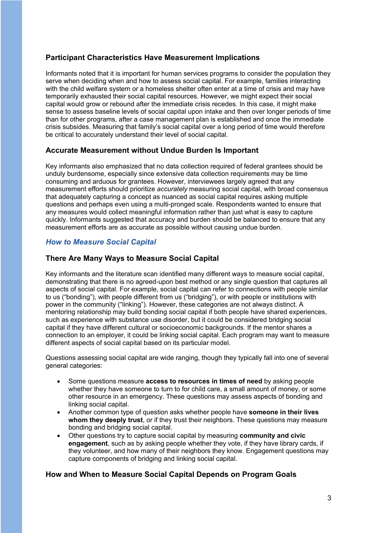#### **Participant Characteristics Have Measurement Implications**

Informants noted that it is important for human services programs to consider the population they serve when deciding when and how to assess social capital. For example, families interacting with the child welfare system or a homeless shelter often enter at a time of crisis and may have temporarily exhausted their social capital resources. However, we might expect their social capital would grow or rebound after the immediate crisis recedes. In this case, it might make sense to assess baseline levels of social capital upon intake and then over longer periods of time than for other programs, after a case management plan is established and once the immediate crisis subsides. Measuring that family's social capital over a long period of time would therefore be critical to accurately understand their level of social capital.

#### **Accurate Measurement without Undue Burden Is Important**

Key informants also emphasized that no data collection required of federal grantees should be unduly burdensome, especially since extensive data collection requirements may be time consuming and arduous for grantees. However, interviewees largely agreed that any measurement efforts should prioritize *accurately* measuring social capital, with broad consensus that adequately capturing a concept as nuanced as social capital requires asking multiple questions and perhaps even using a multi-pronged scale. Respondents wanted to ensure that any measures would collect meaningful information rather than just what is easy to capture quickly. Informants suggested that accuracy and burden should be balanced to ensure that any measurement efforts are as accurate as possible without causing undue burden.

#### *How to Measure Social Capital*

#### **There Are Many Ways to Measure Social Capital**

Key informants and the literature scan identified many different ways to measure social capital, demonstrating that there is no agreed-upon best method or any single question that captures all aspects of social capital. For example, social capital can refer to connections with people similar to us ("bonding"), with people different from us ("bridging"), or with people or institutions with power in the community ("linking"). However, these categories are not always distinct. A mentoring relationship may build bonding social capital if both people have shared experiences, such as experience with substance use disorder, but it could be considered bridging social capital if they have different cultural or socioeconomic backgrounds. If the mentor shares a connection to an employer, it could be linking social capital. Each program may want to measure different aspects of social capital based on its particular model.

Questions assessing social capital are wide ranging, though they typically fall into one of several general categories:

- Some questions measure **access to resources in times of need** by asking people whether they have someone to turn to for child care, a small amount of money, or some other resource in an emergency. These questions may assess aspects of bonding and linking social capital.
- Another common type of question asks whether people have **someone in their lives whom they deeply trust**, or if they trust their neighbors. These questions may measure bonding and bridging social capital.
- Other questions try to capture social capital by measuring **community and civic engagement**, such as by asking people whether they vote, if they have library cards, if they volunteer, and how many of their neighbors they know. Engagement questions may capture components of bridging and linking social capital.

#### **How and When to Measure Social Capital Depends on Program Goals**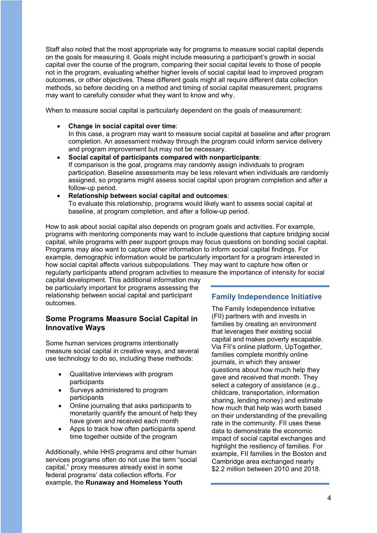Staff also noted that the most appropriate way for programs to measure social capital depends on the goals for measuring it. Goals might include measuring a participant's growth in social capital over the course of the program, comparing their social capital levels to those of people not in the program, evaluating whether higher levels of social capital lead to improved program outcomes, or other objectives. These different goals might all require different data collection methods, so before deciding on a method and timing of social capital measurement, programs may want to carefully consider what they want to know and why.

When to measure social capital is particularly dependent on the goals of measurement:

• **Change in social capital over time**:

In this case, a program may want to measure social capital at baseline and after program completion. An assessment midway through the program could inform service delivery and program improvement but may not be necessary.

- **Social capital of participants compared with nonparticipants**: If comparison is the goal, programs may randomly assign individuals to program participation. Baseline assessments may be less relevant when individuals are randomly assigned, so programs might assess social capital upon program completion and after a follow-up period.
- **Relationship between social capital and outcomes**: To evaluate this relationship, programs would likely want to assess social capital at baseline, at program completion, and after a follow-up period.

How to ask about social capital also depends on program goals and activities. For example, programs with mentoring components may want to include questions that capture bridging social capital, while programs with peer support groups may focus questions on bonding social capital. Programs may also want to capture other information to inform social capital findings. For example, demographic information would be particularly important for a program interested in how social capital affects various subpopulations. They may want to capture how often or regularly participants attend program activities to measure the importance of intensity for social

capital development. This additional information may be particularly important for programs assessing the relationship between social capital and participant outcomes.

#### **Some Programs Measure Social Capital in Innovative Ways**

Some human services programs intentionally measure social capital in creative ways, and several use technology to do so, including these methods:

- Qualitative interviews with program participants
- Surveys administered to program participants
- Online journaling that asks participants to monetarily quantify the amount of help they have given and received each month
- Apps to track how often participants spend time together outside of the program

Additionally, while HHS programs and other human services programs often do not use the term "social capital," proxy measures already exist in some federal programs' data collection efforts. For example, the **Runaway and Homeless Youth**

#### **Family Independence Initiative**

The Family Independence Initiative (FII) partners with and invests in families by creating an environment that leverages their existing social capital and makes poverty escapable. Via FII's online platform, UpTogether, families complete monthly online journals, in which they answer questions about how much help they gave and received that month. They select a category of assistance (e.g., childcare, transportation, information sharing, lending money) and estimate how much that help was worth based on their understanding of the prevailing rate in the community. FII uses these data to demonstrate the economic impact of social capital exchanges and highlight the resiliency of families. For example, FII families in the Boston and Cambridge area exchanged nearly \$2.2 million between 2010 and 2018.